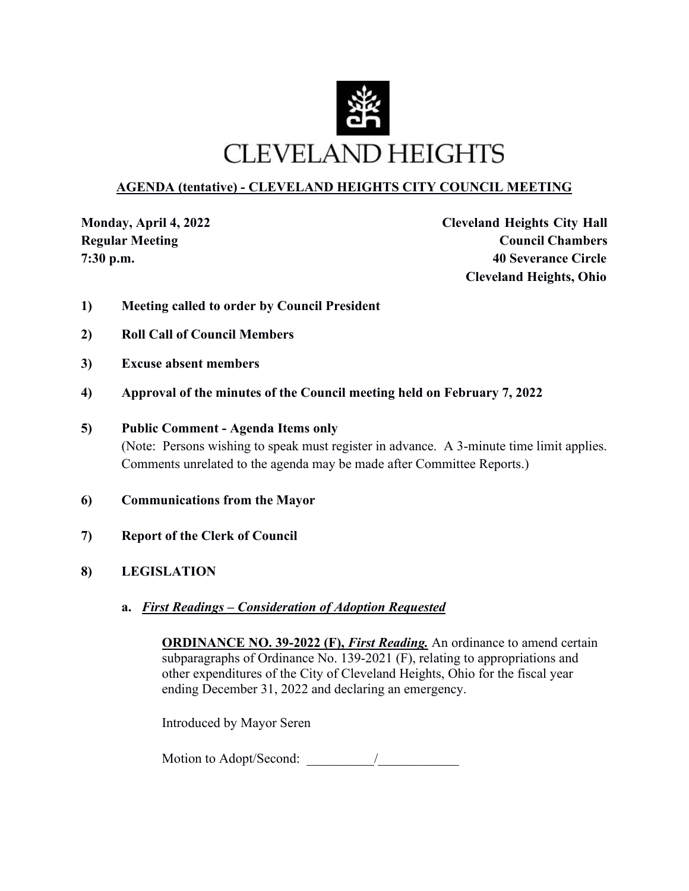

### **AGENDA (tentative) - CLEVELAND HEIGHTS CITY COUNCIL MEETING**

**Monday, April 4, 2022 Cleveland Heights City Hall Regular Meeting Council Chambers Council Chambers 7:30 p.m. 40 Severance Circle Cleveland Heights, Ohio**

- **1) Meeting called to order by Council President**
- **2) Roll Call of Council Members**
- **3) Excuse absent members**
- **4) Approval of the minutes of the Council meeting held on February 7, 2022**

#### **5) Public Comment - Agenda Items only**

(Note: Persons wishing to speak must register in advance. A 3-minute time limit applies. Comments unrelated to the agenda may be made after Committee Reports.)

- **6) Communications from the Mayor**
- **7) Report of the Clerk of Council**
- **8) LEGISLATION**
	- **a.** *First Readings Consideration of Adoption Requested*

**ORDINANCE NO. 39-2022 (F),** *First Reading*. An ordinance to amend certain subparagraphs of Ordinance No. 139-2021 (F), relating to appropriations and other expenditures of the City of Cleveland Heights, Ohio for the fiscal year ending December 31, 2022 and declaring an emergency.

Introduced by Mayor Seren

Motion to Adopt/Second:  $\frac{1}{2}$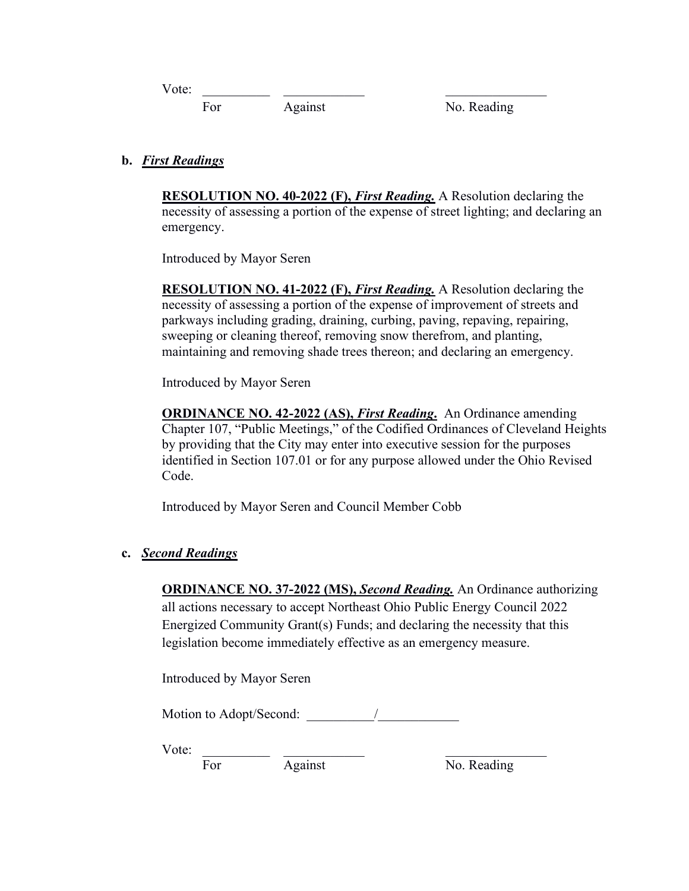Vote: \_\_\_\_\_\_\_\_\_\_ \_\_\_\_\_\_\_\_\_\_\_\_ \_\_\_\_\_\_\_\_\_\_\_\_\_\_\_

For Against No. Reading

**b.** *First Readings* 

**RESOLUTION NO. 40-2022 (F),** *First Reading.* A Resolution declaring the necessity of assessing a portion of the expense of street lighting; and declaring an emergency.

Introduced by Mayor Seren

**RESOLUTION NO. 41-2022 (F),** *First Reading.* A Resolution declaring the necessity of assessing a portion of the expense of improvement of streets and parkways including grading, draining, curbing, paving, repaving, repairing, sweeping or cleaning thereof, removing snow therefrom, and planting, maintaining and removing shade trees thereon; and declaring an emergency.

Introduced by Mayor Seren

**ORDINANCE NO. 42-2022 (AS),** *First Reading***.** An Ordinance amending Chapter 107, "Public Meetings," of the Codified Ordinances of Cleveland Heights by providing that the City may enter into executive session for the purposes identified in Section 107.01 or for any purpose allowed under the Ohio Revised Code.

Introduced by Mayor Seren and Council Member Cobb

#### **c.** *Second Readings*

**ORDINANCE NO. 37-2022 (MS),** *Second Reading.* An Ordinance authorizing all actions necessary to accept Northeast Ohio Public Energy Council 2022 Energized Community Grant(s) Funds; and declaring the necessity that this legislation become immediately effective as an emergency measure.

Introduced by Mayor Seren

Motion to Adopt/Second:

Vote:

For Against No. Reading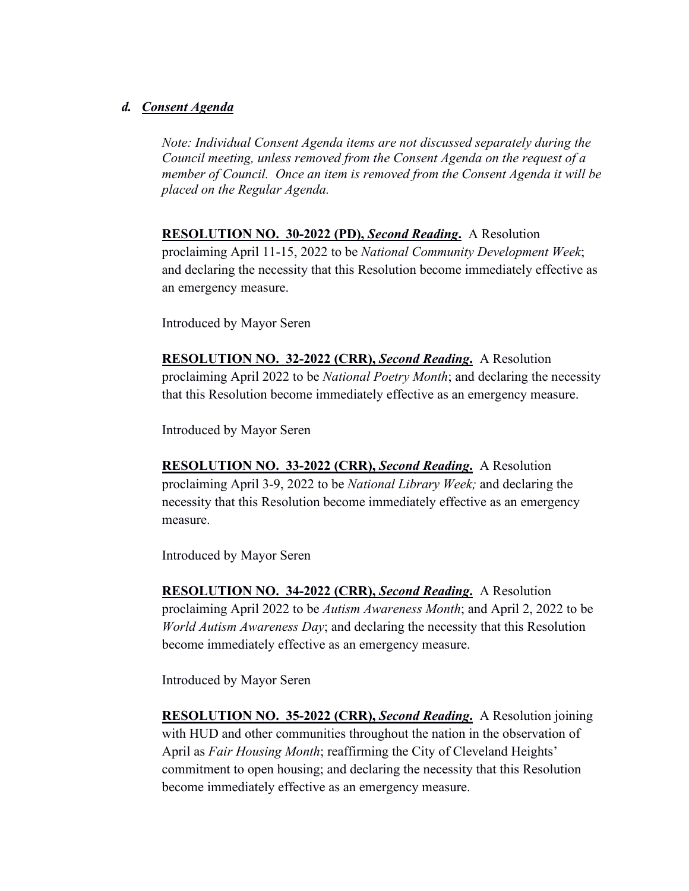#### *d. Consent Agenda*

*Note: Individual Consent Agenda items are not discussed separately during the Council meeting, unless removed from the Consent Agenda on the request of a member of Council. Once an item is removed from the Consent Agenda it will be placed on the Regular Agenda.* 

**RESOLUTION NO. 30-2022 (PD),** *Second Reading***.** A Resolution proclaiming April 11-15, 2022 to be *National Community Development Week*; and declaring the necessity that this Resolution become immediately effective as an emergency measure.

Introduced by Mayor Seren

**RESOLUTION NO. 32-2022 (CRR),** *Second Reading***.** A Resolution proclaiming April 2022 to be *National Poetry Month*; and declaring the necessity that this Resolution become immediately effective as an emergency measure.

Introduced by Mayor Seren

**RESOLUTION NO. 33-2022 (CRR),** *Second Reading***.** A Resolution proclaiming April 3-9, 2022 to be *National Library Week;* and declaring the necessity that this Resolution become immediately effective as an emergency measure.

Introduced by Mayor Seren

**RESOLUTION NO. 34-2022 (CRR),** *Second Reading***.** A Resolution proclaiming April 2022 to be *Autism Awareness Month*; and April 2, 2022 to be *World Autism Awareness Day*; and declaring the necessity that this Resolution become immediately effective as an emergency measure.

Introduced by Mayor Seren

**RESOLUTION NO. 35-2022 (CRR),** *Second Reading***.** A Resolution joining with HUD and other communities throughout the nation in the observation of April as *Fair Housing Month*; reaffirming the City of Cleveland Heights' commitment to open housing; and declaring the necessity that this Resolution become immediately effective as an emergency measure.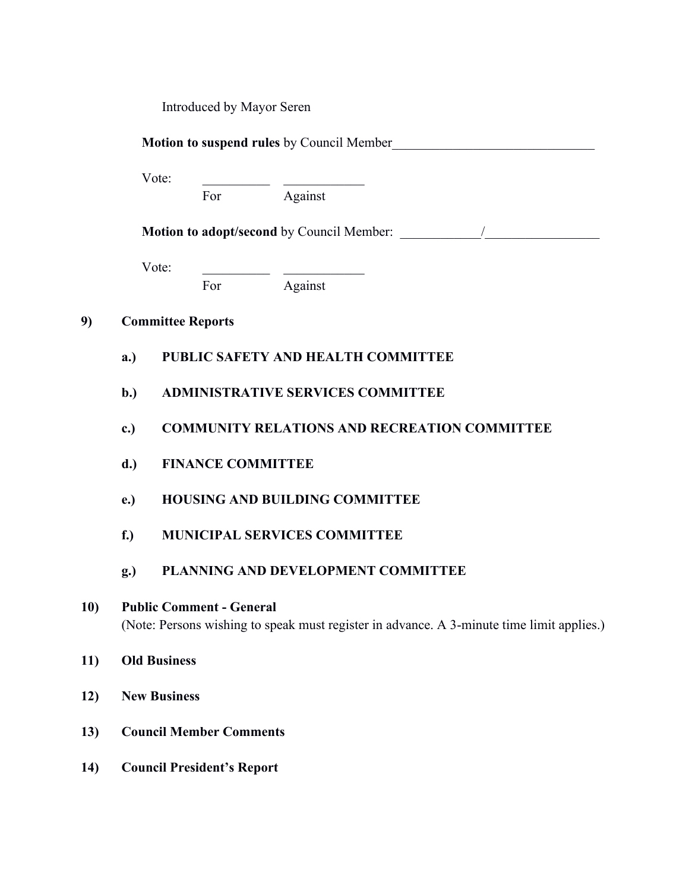Introduced by Mayor Seren

**Motion to suspend rules** by Council Member

Vote:

For Against

**Motion to adopt/second** by Council Member:  $\frac{1}{2}$ 

Vote:

For Against

#### **9) Committee Reports**

- **a.) PUBLIC SAFETY AND HEALTH COMMITTEE**
- **b.) ADMINISTRATIVE SERVICES COMMITTEE**
- **c.) COMMUNITY RELATIONS AND RECREATION COMMITTEE**
- **d.) FINANCE COMMITTEE**
- **e.) HOUSING AND BUILDING COMMITTEE**
- **f.) MUNICIPAL SERVICES COMMITTEE**
- **g.) PLANNING AND DEVELOPMENT COMMITTEE**

## **10) Public Comment - General** (Note: Persons wishing to speak must register in advance. A 3-minute time limit applies.)

- **11) Old Business**
- **12) New Business**
- **13) Council Member Comments**
- **14) Council President's Report**